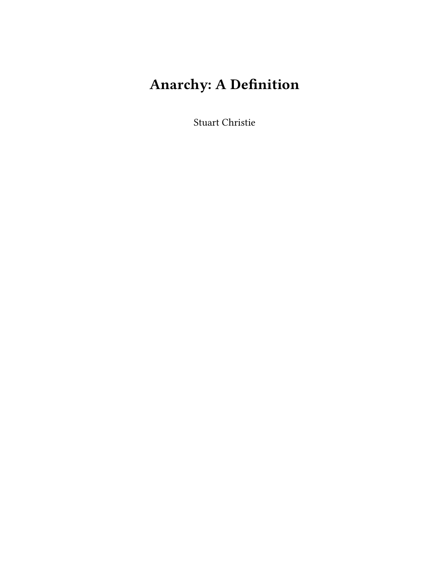## **Anarchy: A Definition**

Stuart Christie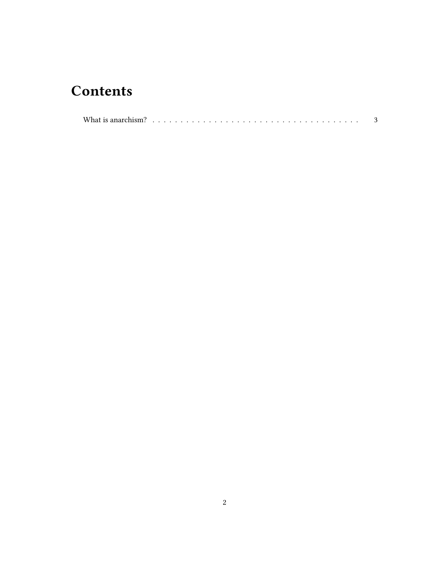## **Contents**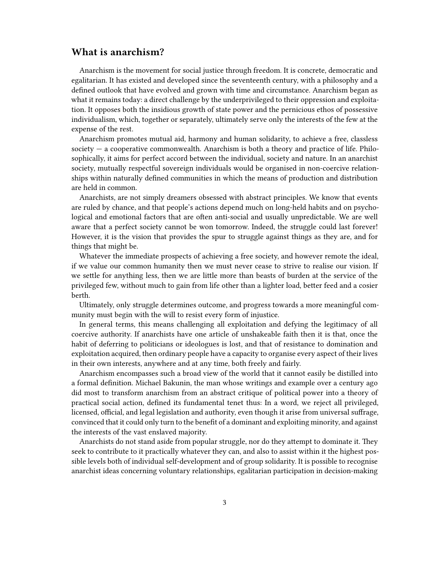## <span id="page-2-0"></span>**What is anarchism?**

Anarchism is the movement for social justice through freedom. It is concrete, democratic and egalitarian. It has existed and developed since the seventeenth century, with a philosophy and a defined outlook that have evolved and grown with time and circumstance. Anarchism began as what it remains today: a direct challenge by the underprivileged to their oppression and exploitation. It opposes both the insidious growth of state power and the pernicious ethos of possessive individualism, which, together or separately, ultimately serve only the interests of the few at the expense of the rest.

Anarchism promotes mutual aid, harmony and human solidarity, to achieve a free, classless society — a cooperative commonwealth. Anarchism is both a theory and practice of life. Philosophically, it aims for perfect accord between the individual, society and nature. In an anarchist society, mutually respectful sovereign individuals would be organised in non-coercive relationships within naturally defined communities in which the means of production and distribution are held in common.

Anarchists, are not simply dreamers obsessed with abstract principles. We know that events are ruled by chance, and that people's actions depend much on long-held habits and on psychological and emotional factors that are often anti-social and usually unpredictable. We are well aware that a perfect society cannot be won tomorrow. Indeed, the struggle could last forever! However, it is the vision that provides the spur to struggle against things as they are, and for things that might be.

Whatever the immediate prospects of achieving a free society, and however remote the ideal, if we value our common humanity then we must never cease to strive to realise our vision. If we settle for anything less, then we are little more than beasts of burden at the service of the privileged few, without much to gain from life other than a lighter load, better feed and a cosier berth.

Ultimately, only struggle determines outcome, and progress towards a more meaningful community must begin with the will to resist every form of injustice.

In general terms, this means challenging all exploitation and defying the legitimacy of all coercive authority. If anarchists have one article of unshakeable faith then it is that, once the habit of deferring to politicians or ideologues is lost, and that of resistance to domination and exploitation acquired, then ordinary people have a capacity to organise every aspect of their lives in their own interests, anywhere and at any time, both freely and fairly.

Anarchism encompasses such a broad view of the world that it cannot easily be distilled into a formal definition. Michael Bakunin, the man whose writings and example over a century ago did most to transform anarchism from an abstract critique of political power into a theory of practical social action, defined its fundamental tenet thus: In a word, we reject all privileged, licensed, official, and legal legislation and authority, even though it arise from universal suffrage, convinced that it could only turn to the benefit of a dominant and exploiting minority, and against the interests of the vast enslaved majority.

Anarchists do not stand aside from popular struggle, nor do they attempt to dominate it. They seek to contribute to it practically whatever they can, and also to assist within it the highest possible levels both of individual self-development and of group solidarity. It is possible to recognise anarchist ideas concerning voluntary relationships, egalitarian participation in decision-making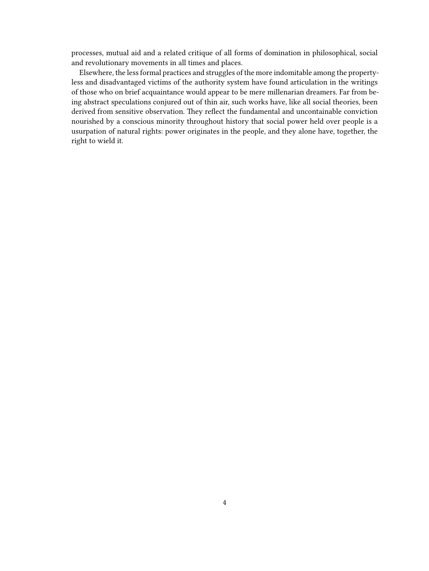processes, mutual aid and a related critique of all forms of domination in philosophical, social and revolutionary movements in all times and places.

Elsewhere, the less formal practices and struggles of the more indomitable among the propertyless and disadvantaged victims of the authority system have found articulation in the writings of those who on brief acquaintance would appear to be mere millenarian dreamers. Far from being abstract speculations conjured out of thin air, such works have, like all social theories, been derived from sensitive observation. They reflect the fundamental and uncontainable conviction nourished by a conscious minority throughout history that social power held over people is a usurpation of natural rights: power originates in the people, and they alone have, together, the right to wield it.